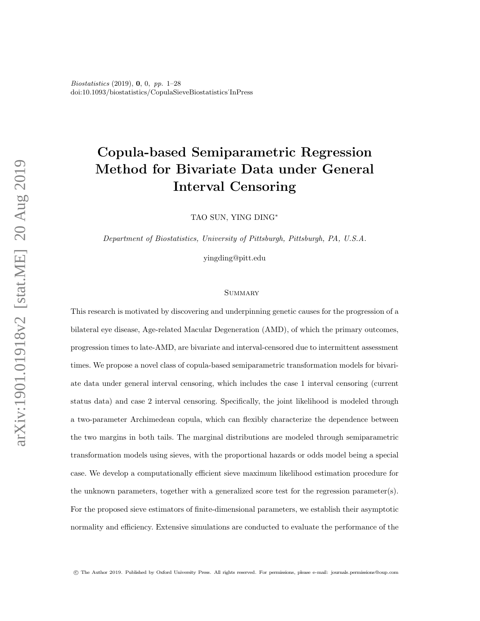Biostatistics (2019), 0, 0, pp. 1–28 doi:10.1093/biostatistics/CopulaSieveBiostatistics˙InPress

# Copula-based Semiparametric Regression Method for Bivariate Data under General Interval Censoring

TAO SUN, YING DING<sup>∗</sup>

Department of Biostatistics, University of Pittsburgh, Pittsburgh, PA, U.S.A.

yingding@pitt.edu

#### **SUMMARY**

This research is motivated by discovering and underpinning genetic causes for the progression of a bilateral eye disease, Age-related Macular Degeneration (AMD), of which the primary outcomes, progression times to late-AMD, are bivariate and interval-censored due to intermittent assessment times. We propose a novel class of copula-based semiparametric transformation models for bivariate data under general interval censoring, which includes the case 1 interval censoring (current status data) and case 2 interval censoring. Specifically, the joint likelihood is modeled through a two-parameter Archimedean copula, which can flexibly characterize the dependence between the two margins in both tails. The marginal distributions are modeled through semiparametric transformation models using sieves, with the proportional hazards or odds model being a special case. We develop a computationally efficient sieve maximum likelihood estimation procedure for the unknown parameters, together with a generalized score test for the regression parameter(s). For the proposed sieve estimators of finite-dimensional parameters, we establish their asymptotic normality and efficiency. Extensive simulations are conducted to evaluate the performance of the

c The Author 2019. Published by Oxford University Press. All rights reserved. For permissions, please e-mail: journals.permissions@oup.com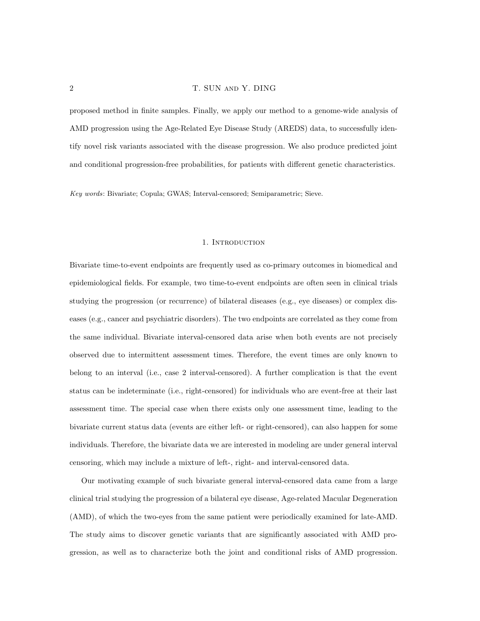proposed method in finite samples. Finally, we apply our method to a genome-wide analysis of AMD progression using the Age-Related Eye Disease Study (AREDS) data, to successfully identify novel risk variants associated with the disease progression. We also produce predicted joint and conditional progression-free probabilities, for patients with different genetic characteristics.

Key words: Bivariate; Copula; GWAS; Interval-censored; Semiparametric; Sieve.

## 1. INTRODUCTION

Bivariate time-to-event endpoints are frequently used as co-primary outcomes in biomedical and epidemiological fields. For example, two time-to-event endpoints are often seen in clinical trials studying the progression (or recurrence) of bilateral diseases (e.g., eye diseases) or complex diseases (e.g., cancer and psychiatric disorders). The two endpoints are correlated as they come from the same individual. Bivariate interval-censored data arise when both events are not precisely observed due to intermittent assessment times. Therefore, the event times are only known to belong to an interval (i.e., case 2 interval-censored). A further complication is that the event status can be indeterminate (i.e., right-censored) for individuals who are event-free at their last assessment time. The special case when there exists only one assessment time, leading to the bivariate current status data (events are either left- or right-censored), can also happen for some individuals. Therefore, the bivariate data we are interested in modeling are under general interval censoring, which may include a mixture of left-, right- and interval-censored data.

Our motivating example of such bivariate general interval-censored data came from a large clinical trial studying the progression of a bilateral eye disease, Age-related Macular Degeneration (AMD), of which the two-eyes from the same patient were periodically examined for late-AMD. The study aims to discover genetic variants that are significantly associated with AMD progression, as well as to characterize both the joint and conditional risks of AMD progression.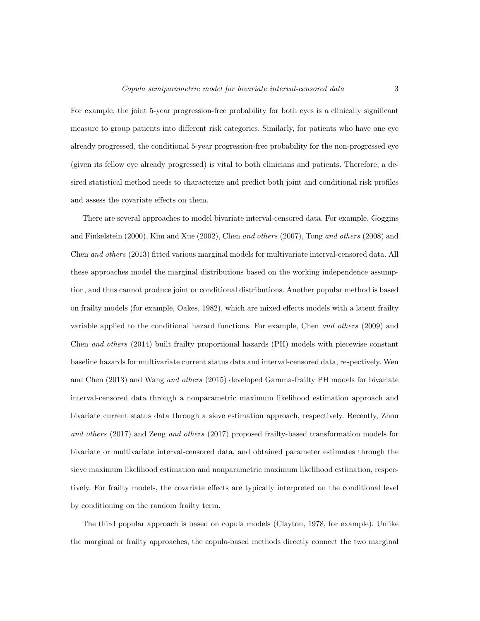#### Copula semiparametric model for bivariate interval-censored data 3

For example, the joint 5-year progression-free probability for both eyes is a clinically significant measure to group patients into different risk categories. Similarly, for patients who have one eye already progressed, the conditional 5-year progression-free probability for the non-progressed eye (given its fellow eye already progressed) is vital to both clinicians and patients. Therefore, a desired statistical method needs to characterize and predict both joint and conditional risk profiles and assess the covariate effects on them.

There are several approaches to model bivariate interval-censored data. For example, Goggins and Finkelstein (2000), Kim and Xue (2002), Chen and others (2007), Tong and others (2008) and Chen and others (2013) fitted various marginal models for multivariate interval-censored data. All these approaches model the marginal distributions based on the working independence assumption, and thus cannot produce joint or conditional distributions. Another popular method is based on frailty models (for example, Oakes, 1982), which are mixed effects models with a latent frailty variable applied to the conditional hazard functions. For example, Chen and others (2009) and Chen and others (2014) built frailty proportional hazards (PH) models with piecewise constant baseline hazards for multivariate current status data and interval-censored data, respectively. Wen and Chen (2013) and Wang and others (2015) developed Gamma-frailty PH models for bivariate interval-censored data through a nonparametric maximum likelihood estimation approach and bivariate current status data through a sieve estimation approach, respectively. Recently, Zhou and others (2017) and Zeng and others (2017) proposed frailty-based transformation models for bivariate or multivariate interval-censored data, and obtained parameter estimates through the sieve maximum likelihood estimation and nonparametric maximum likelihood estimation, respectively. For frailty models, the covariate effects are typically interpreted on the conditional level by conditioning on the random frailty term.

The third popular approach is based on copula models (Clayton, 1978, for example). Unlike the marginal or frailty approaches, the copula-based methods directly connect the two marginal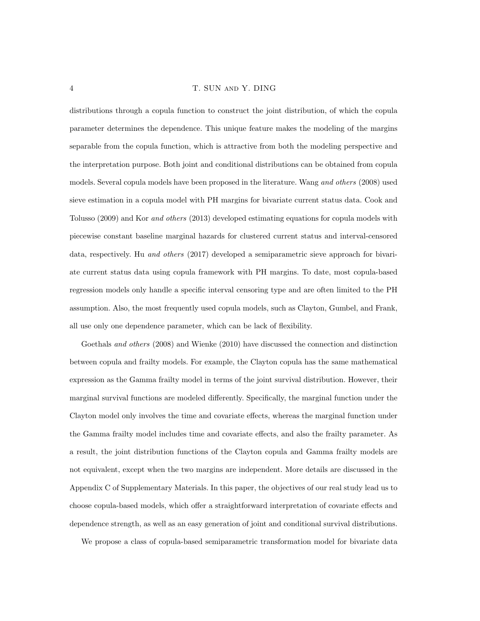distributions through a copula function to construct the joint distribution, of which the copula parameter determines the dependence. This unique feature makes the modeling of the margins separable from the copula function, which is attractive from both the modeling perspective and the interpretation purpose. Both joint and conditional distributions can be obtained from copula models. Several copula models have been proposed in the literature. Wang and others (2008) used sieve estimation in a copula model with PH margins for bivariate current status data. Cook and Tolusso (2009) and Kor and others (2013) developed estimating equations for copula models with piecewise constant baseline marginal hazards for clustered current status and interval-censored data, respectively. Hu and others (2017) developed a semiparametric sieve approach for bivariate current status data using copula framework with PH margins. To date, most copula-based regression models only handle a specific interval censoring type and are often limited to the PH assumption. Also, the most frequently used copula models, such as Clayton, Gumbel, and Frank, all use only one dependence parameter, which can be lack of flexibility.

Goethals and others (2008) and Wienke (2010) have discussed the connection and distinction between copula and frailty models. For example, the Clayton copula has the same mathematical expression as the Gamma frailty model in terms of the joint survival distribution. However, their marginal survival functions are modeled differently. Specifically, the marginal function under the Clayton model only involves the time and covariate effects, whereas the marginal function under the Gamma frailty model includes time and covariate effects, and also the frailty parameter. As a result, the joint distribution functions of the Clayton copula and Gamma frailty models are not equivalent, except when the two margins are independent. More details are discussed in the Appendix C of Supplementary Materials. In this paper, the objectives of our real study lead us to choose copula-based models, which offer a straightforward interpretation of covariate effects and dependence strength, as well as an easy generation of joint and conditional survival distributions.

We propose a class of copula-based semiparametric transformation model for bivariate data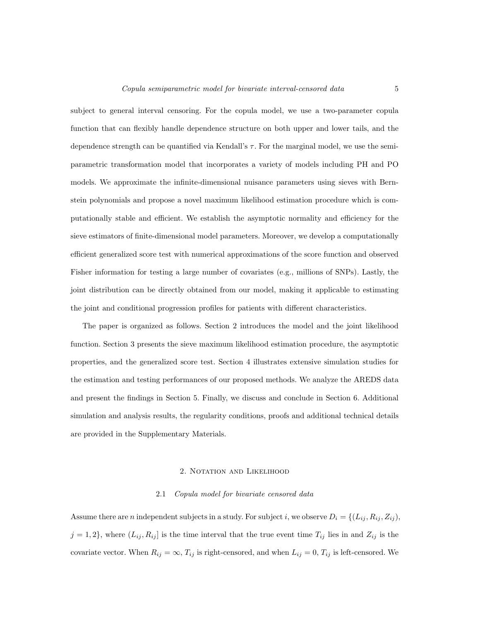#### Copula semiparametric model for bivariate interval-censored data 5

subject to general interval censoring. For the copula model, we use a two-parameter copula function that can flexibly handle dependence structure on both upper and lower tails, and the dependence strength can be quantified via Kendall's  $\tau$ . For the marginal model, we use the semiparametric transformation model that incorporates a variety of models including PH and PO models. We approximate the infinite-dimensional nuisance parameters using sieves with Bernstein polynomials and propose a novel maximum likelihood estimation procedure which is computationally stable and efficient. We establish the asymptotic normality and efficiency for the sieve estimators of finite-dimensional model parameters. Moreover, we develop a computationally efficient generalized score test with numerical approximations of the score function and observed Fisher information for testing a large number of covariates (e.g., millions of SNPs). Lastly, the joint distribution can be directly obtained from our model, making it applicable to estimating the joint and conditional progression profiles for patients with different characteristics.

The paper is organized as follows. Section 2 introduces the model and the joint likelihood function. Section 3 presents the sieve maximum likelihood estimation procedure, the asymptotic properties, and the generalized score test. Section 4 illustrates extensive simulation studies for the estimation and testing performances of our proposed methods. We analyze the AREDS data and present the findings in Section 5. Finally, we discuss and conclude in Section 6. Additional simulation and analysis results, the regularity conditions, proofs and additional technical details are provided in the Supplementary Materials.

#### 2. NOTATION AND LIKELIHOOD

#### 2.1 Copula model for bivariate censored data

Assume there are *n* independent subjects in a study. For subject *i*, we observe  $D_i = \{(L_{ij}, R_{ij}, Z_{ij}),\}$  $j = 1, 2$ , where  $(L_{ij}, R_{ij}]$  is the time interval that the true event time  $T_{ij}$  lies in and  $Z_{ij}$  is the covariate vector. When  $R_{ij} = \infty$ ,  $T_{ij}$  is right-censored, and when  $L_{ij} = 0$ ,  $T_{ij}$  is left-censored. We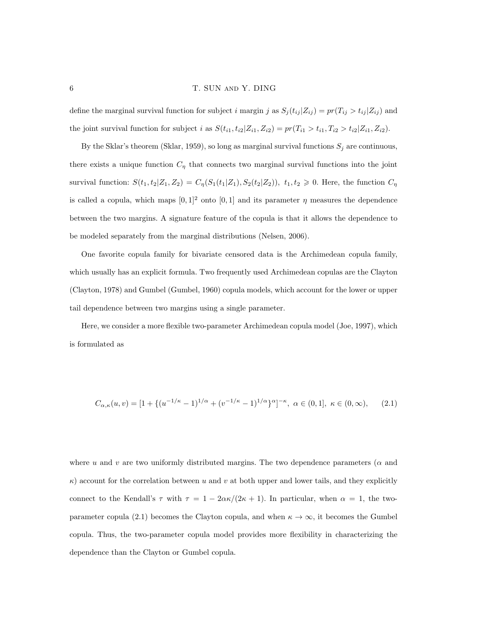define the marginal survival function for subject i margin j as  $S_j(t_{ij} | Z_{ij}) = pr(T_{ij} > t_{ij} | Z_{ij})$  and the joint survival function for subject *i* as  $S(t_{i1}, t_{i2}|Z_{i1}, Z_{i2}) = pr(T_{i1} > t_{i1}, T_{i2} > t_{i2}|Z_{i1}, Z_{i2})$ .

By the Sklar's theorem (Sklar, 1959), so long as marginal survival functions  $S_j$  are continuous, there exists a unique function  $C_{\eta}$  that connects two marginal survival functions into the joint survival function:  $S(t_1, t_2|Z_1, Z_2) = C_{\eta}(S_1(t_1|Z_1), S_2(t_2|Z_2))$ ,  $t_1, t_2 \ge 0$ . Here, the function  $C_{\eta}$ is called a copula, which maps  $[0, 1]^2$  onto  $[0, 1]$  and its parameter  $\eta$  measures the dependence between the two margins. A signature feature of the copula is that it allows the dependence to be modeled separately from the marginal distributions (Nelsen, 2006).

One favorite copula family for bivariate censored data is the Archimedean copula family, which usually has an explicit formula. Two frequently used Archimedean copulas are the Clayton (Clayton, 1978) and Gumbel (Gumbel, 1960) copula models, which account for the lower or upper tail dependence between two margins using a single parameter.

Here, we consider a more flexible two-parameter Archimedean copula model (Joe, 1997), which is formulated as

$$
C_{\alpha,\kappa}(u,v) = [1 + \{ (u^{-1/\kappa} - 1)^{1/\alpha} + (v^{-1/\kappa} - 1)^{1/\alpha} \}^{\alpha}]^{-\kappa}, \ \alpha \in (0,1], \ \kappa \in (0,\infty), \tag{2.1}
$$

where u and v are two uniformly distributed margins. The two dependence parameters ( $\alpha$  and  $\kappa$ ) account for the correlation between u and v at both upper and lower tails, and they explicitly connect to the Kendall's  $\tau$  with  $\tau = 1 - 2\alpha\kappa/(2\kappa + 1)$ . In particular, when  $\alpha = 1$ , the twoparameter copula (2.1) becomes the Clayton copula, and when  $\kappa \to \infty$ , it becomes the Gumbel copula. Thus, the two-parameter copula model provides more flexibility in characterizing the dependence than the Clayton or Gumbel copula.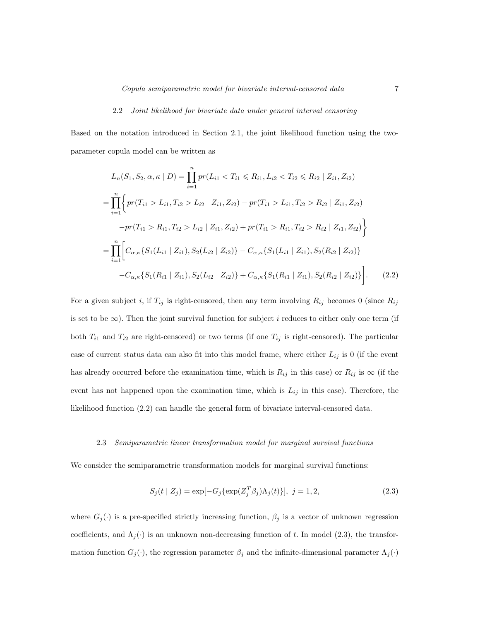#### 2.2 Joint likelihood for bivariate data under general interval censoring

Based on the notation introduced in Section 2.1, the joint likelihood function using the twoparameter copula model can be written as

$$
L_n(S_1, S_2, \alpha, \kappa | D) = \prod_{i=1}^n pr(L_{i1} < T_{i1} \leq R_{i1}, L_{i2} < T_{i2} \leq R_{i2} | Z_{i1}, Z_{i2})
$$
\n
$$
= \prod_{i=1}^n \left\{ pr(T_{i1} > L_{i1}, T_{i2} > L_{i2} | Z_{i1}, Z_{i2}) - pr(T_{i1} > L_{i1}, T_{i2} > R_{i2} | Z_{i1}, Z_{i2}) - pr(T_{i1} > R_{i1}, T_{i2} > R_{i2} | Z_{i1}, Z_{i2}) \right\}
$$
\n
$$
= \prod_{i=1}^n \left[ C_{\alpha, \kappa} \{ S_1(L_{i1} | Z_{i1}), S_2(L_{i2} | Z_{i2}) \} - C_{\alpha, \kappa} \{ S_1(L_{i1} | Z_{i1}), S_2(R_{i2} | Z_{i2}) \} - C_{\alpha, \kappa} \{ S_1(R_{i1} | Z_{i1}), S_2(R_{i2} | Z_{i2}) \} - C_{\alpha, \kappa} \{ S_1(R_{i1} | Z_{i1}), S_2(L_{i2} | Z_{i2}) \} + C_{\alpha, \kappa} \{ S_1(R_{i1} | Z_{i1}), S_2(R_{i2} | Z_{i2}) \} \right]. \tag{2.2}
$$

For a given subject i, if  $T_{ij}$  is right-censored, then any term involving  $R_{ij}$  becomes 0 (since  $R_{ij}$ is set to be  $\infty$ ). Then the joint survival function for subject i reduces to either only one term (if both  $T_{i1}$  and  $T_{i2}$  are right-censored) or two terms (if one  $T_{ij}$  is right-censored). The particular case of current status data can also fit into this model frame, where either  $L_{ij}$  is 0 (if the event has already occurred before the examination time, which is  $R_{ij}$  in this case) or  $R_{ij}$  is  $\infty$  (if the event has not happened upon the examination time, which is  $L_{ij}$  in this case). Therefore, the likelihood function (2.2) can handle the general form of bivariate interval-censored data.

#### 2.3 Semiparametric linear transformation model for marginal survival functions

We consider the semiparametric transformation models for marginal survival functions:

$$
S_j(t | Z_j) = \exp[-G_j\{\exp(Z_j^T \beta_j) \Lambda_j(t)\}], \ j = 1, 2,
$$
\n(2.3)

where  $G_j(\cdot)$  is a pre-specified strictly increasing function,  $\beta_j$  is a vector of unknown regression coefficients, and  $\Lambda_i(\cdot)$  is an unknown non-decreasing function of t. In model (2.3), the transformation function  $G_j(\cdot)$ , the regression parameter  $\beta_j$  and the infinite-dimensional parameter  $\Lambda_j(\cdot)$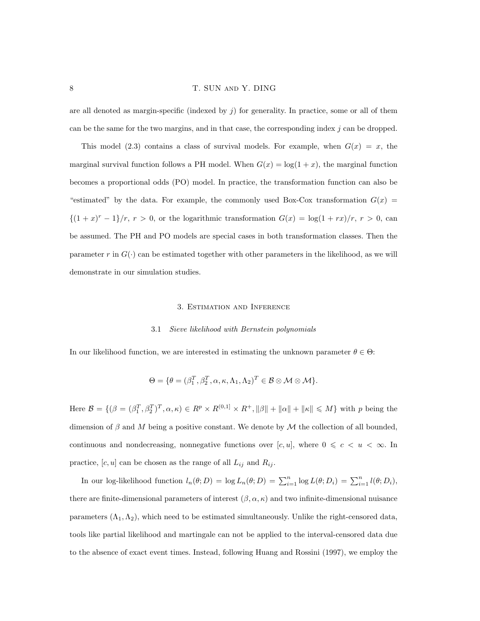## 8 T. SUN AND Y. DING

are all denoted as margin-specific (indexed by  $j$ ) for generality. In practice, some or all of them can be the same for the two margins, and in that case, the corresponding index j can be dropped.

This model (2.3) contains a class of survival models. For example, when  $G(x) = x$ , the marginal survival function follows a PH model. When  $G(x) = \log(1 + x)$ , the marginal function becomes a proportional odds (PO) model. In practice, the transformation function can also be "estimated" by the data. For example, the commonly used Box-Cox transformation  $G(x)$  $\{(1+x)^r-1\}/r, r>0$ , or the logarithmic transformation  $G(x) = \log(1+rx)/r, r>0$ , can be assumed. The PH and PO models are special cases in both transformation classes. Then the parameter r in  $G(\cdot)$  can be estimated together with other parameters in the likelihood, as we will demonstrate in our simulation studies.

## 3. Estimation and Inference

#### 3.1 Sieve likelihood with Bernstein polynomials

In our likelihood function, we are interested in estimating the unknown parameter  $\theta \in \Theta$ :

$$
\Theta = \{ \theta = (\beta_1^T, \beta_2^T, \alpha, \kappa, \Lambda_1, \Lambda_2)^T \in \mathcal{B} \otimes \mathcal{M} \otimes \mathcal{M} \}.
$$

Here  $\mathcal{B} = \{(\beta = (\beta_1^T, \beta_2^T)^T, \alpha, \kappa) \in R^p \times R^{(0,1]} \times R^+, ||\beta|| + ||\alpha|| + ||\kappa|| \leq M\}$  with p being the dimension of  $\beta$  and M being a positive constant. We denote by  $\mathcal M$  the collection of all bounded, continuous and nondecreasing, nonnegative functions over  $[c, u]$ , where  $0 \leq c \leq u \leq \infty$ . In practice,  $[c, u]$  can be chosen as the range of all  $L_{ij}$  and  $R_{ij}$ .

In our log-likelihood function  $l_n(\theta; D) = \log L_n(\theta; D) = \sum_{i=1}^n \log L(\theta; D_i) = \sum_{i=1}^n l(\theta; D_i)$ , there are finite-dimensional parameters of interest  $(\beta, \alpha, \kappa)$  and two infinite-dimensional nuisance parameters  $(\Lambda_1, \Lambda_2)$ , which need to be estimated simultaneously. Unlike the right-censored data, tools like partial likelihood and martingale can not be applied to the interval-censored data due to the absence of exact event times. Instead, following Huang and Rossini (1997), we employ the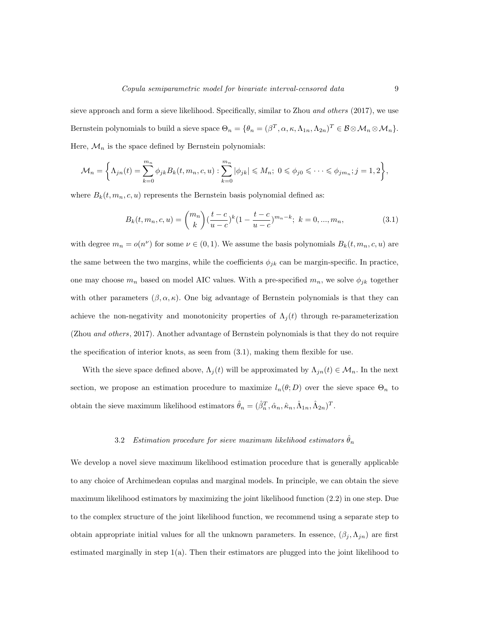sieve approach and form a sieve likelihood. Specifically, similar to Zhou and others (2017), we use Bernstein polynomials to build a sieve space  $\Theta_n = {\theta_n = (\beta^T, \alpha, \kappa, \Lambda_{1n}, \Lambda_{2n})^T \in \mathcal{B} \otimes \mathcal{M}_n \otimes \mathcal{M}_n}$ . Here,  $\mathcal{M}_n$  is the space defined by Bernstein polynomials:

$$
\mathcal{M}_n = \left\{ \Lambda_{jn}(t) = \sum_{k=0}^{m_n} \phi_{jk} B_k(t, m_n, c, u) : \sum_{k=0}^{m_n} |\phi_{jk}| \le M_n; \ 0 \le \phi_{j0} \le \cdots \le \phi_{jm_n}; j = 1, 2 \right\},\
$$

where  $B_k(t, m_n, c, u)$  represents the Bernstein basis polynomial defined as:

$$
B_k(t, m_n, c, u) = {m_n \choose k} \left(\frac{t-c}{u-c}\right)^k \left(1 - \frac{t-c}{u-c}\right)^{m_n-k}; \ k = 0, ..., m_n,
$$
 (3.1)

with degree  $m_n = o(n^{\nu})$  for some  $\nu \in (0, 1)$ . We assume the basis polynomials  $B_k(t, m_n, c, u)$  are the same between the two margins, while the coefficients  $\phi_{jk}$  can be margin-specific. In practice, one may choose  $m_n$  based on model AIC values. With a pre-specified  $m_n$ , we solve  $\phi_{jk}$  together with other parameters  $(\beta, \alpha, \kappa)$ . One big advantage of Bernstein polynomials is that they can achieve the non-negativity and monotonicity properties of  $\Lambda_j(t)$  through re-parameterization (Zhou and others, 2017). Another advantage of Bernstein polynomials is that they do not require the specification of interior knots, as seen from (3.1), making them flexible for use.

With the sieve space defined above,  $\Lambda_j(t)$  will be approximated by  $\Lambda_{jn}(t) \in \mathcal{M}_n$ . In the next section, we propose an estimation procedure to maximize  $l_n(\theta; D)$  over the sieve space  $\Theta_n$  to obtain the sieve maximum likelihood estimators  $\hat{\theta}_n = (\hat{\beta}_n^T, \hat{\alpha}_n, \hat{\kappa}_n, \hat{\Lambda}_{1n}, \hat{\Lambda}_{2n})^T$ .

# 3.2 Estimation procedure for sieve maximum likelihood estimators  $\hat{\theta}_n$

We develop a novel sieve maximum likelihood estimation procedure that is generally applicable to any choice of Archimedean copulas and marginal models. In principle, we can obtain the sieve maximum likelihood estimators by maximizing the joint likelihood function (2.2) in one step. Due to the complex structure of the joint likelihood function, we recommend using a separate step to obtain appropriate initial values for all the unknown parameters. In essence,  $(\beta_j, \Lambda_{jn})$  are first estimated marginally in step  $1(a)$ . Then their estimators are plugged into the joint likelihood to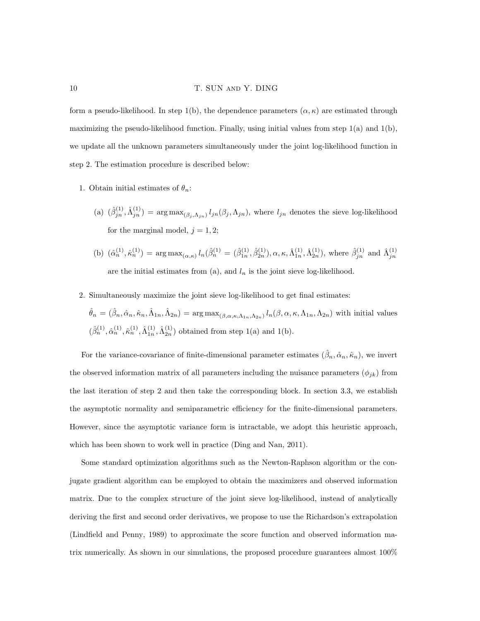## 10 T. SUN AND Y. DING

form a pseudo-likelihood. In step 1(b), the dependence parameters  $(\alpha, \kappa)$  are estimated through maximizing the pseudo-likelihood function. Finally, using initial values from step  $1(a)$  and  $1(b)$ , we update all the unknown parameters simultaneously under the joint log-likelihood function in step 2. The estimation procedure is described below:

- 1. Obtain initial estimates of  $\theta_n$ :
	- (a)  $(\hat{\beta}_{jn}^{(1)}, \hat{\Lambda}_{jn}^{(1)}) = \arg \max_{(\beta_j, \Lambda_{jn})} l_{jn}(\beta_j, \Lambda_{jn}),$  where  $l_{jn}$  denotes the sieve log-likelihood for the marginal model,  $j = 1, 2;$
	- (b)  $(\hat{\alpha}_n^{(1)}, \hat{\kappa}_n^{(1)}) = \arg \max_{(\alpha,\kappa)} l_n(\hat{\beta}_n^{(1)} = (\hat{\beta}_{1n}^{(1)}, \hat{\beta}_{2n}^{(1)}), \alpha, \kappa, \hat{\Lambda}_{1n}^{(1)}, \hat{\Lambda}_{2n}^{(1)}),$  where  $\hat{\beta}_{jn}^{(1)}$  and  $\hat{\Lambda}_{jn}^{(1)}$ are the initial estimates from (a), and  $l_n$  is the joint sieve log-likelihood.
- 2. Simultaneously maximize the joint sieve log-likelihood to get final estimates:

$$
\hat{\theta}_n = (\hat{\beta}_n, \hat{\alpha}_n, \hat{\kappa}_n, \hat{\Lambda}_{1n}, \hat{\Lambda}_{2n}) = \arg \max_{(\beta, \alpha, \kappa, \Lambda_{1n}, \Lambda_{2n})} l_n(\beta, \alpha, \kappa, \Lambda_{1n}, \Lambda_{2n})
$$
 with initial values 
$$
(\hat{\beta}_n^{(1)}, \hat{\alpha}_n^{(1)}, \hat{\kappa}_n^{(1)}, \hat{\Lambda}_{1n}^{(1)}, \hat{\Lambda}_{2n}^{(1)})
$$
 obtained from step 1(a) and 1(b).

For the variance-covariance of finite-dimensional parameter estimates  $(\hat{\beta}_n, \hat{\alpha}_n, \hat{\kappa}_n)$ , we invert the observed information matrix of all parameters including the nuisance parameters  $(\phi_{jk})$  from the last iteration of step 2 and then take the corresponding block. In section 3.3, we establish the asymptotic normality and semiparametric efficiency for the finite-dimensional parameters. However, since the asymptotic variance form is intractable, we adopt this heuristic approach, which has been shown to work well in practice (Ding and Nan, 2011).

Some standard optimization algorithms such as the Newton-Raphson algorithm or the conjugate gradient algorithm can be employed to obtain the maximizers and observed information matrix. Due to the complex structure of the joint sieve log-likelihood, instead of analytically deriving the first and second order derivatives, we propose to use the Richardson's extrapolation (Lindfield and Penny, 1989) to approximate the score function and observed information matrix numerically. As shown in our simulations, the proposed procedure guarantees almost 100%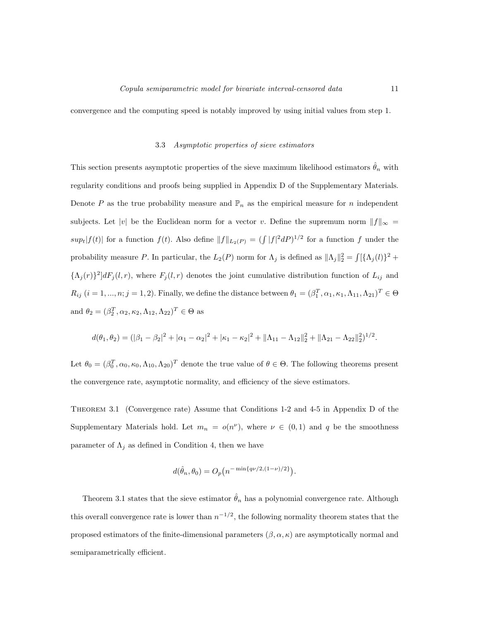convergence and the computing speed is notably improved by using initial values from step 1.

## 3.3 Asymptotic properties of sieve estimators

This section presents asymptotic properties of the sieve maximum likelihood estimators  $\hat{\theta}_n$  with regularity conditions and proofs being supplied in Appendix D of the Supplementary Materials. Denote P as the true probability measure and  $\mathbb{P}_n$  as the empirical measure for n independent subjects. Let |v| be the Euclidean norm for a vector v. Define the supremum norm  $||f||_{\infty} =$  $sup_t|f(t)|$  for a function  $f(t)$ . Also define  $||f||_{L_2(P)} = (\int |f|^2 dP)^{1/2}$  for a function f under the probability measure P. In particular, the  $L_2(P)$  norm for  $\Lambda_j$  is defined as  $\|\Lambda_j\|_2^2 = \int [\{\Lambda_j(l)\}^2 +$  ${\{\Lambda_j(r)\}}^2]dF_j(l,r)$ , where  $F_j(l,r)$  denotes the joint cumulative distribution function of  $L_{ij}$  and  $R_{ij}$   $(i = 1, ..., n; j = 1, 2)$ . Finally, we define the distance between  $\theta_1 = (\beta_1^T, \alpha_1, \kappa_1, \Lambda_{11}, \Lambda_{21})^T \in \Theta$ and  $\theta_2 = (\beta_2^T, \alpha_2, \kappa_2, \Lambda_{12}, \Lambda_{22})^T \in \Theta$  as

$$
d(\theta_1, \theta_2) = (|\beta_1 - \beta_2|^2 + |\alpha_1 - \alpha_2|^2 + |\kappa_1 - \kappa_2|^2 + ||\Lambda_{11} - \Lambda_{12}||_2^2 + ||\Lambda_{21} - \Lambda_{22}||_2^2)^{1/2}.
$$

Let  $\theta_0 = (\beta_0^T, \alpha_0, \kappa_0, \Lambda_{10}, \Lambda_{20})^T$  denote the true value of  $\theta \in \Theta$ . The following theorems present the convergence rate, asymptotic normality, and efficiency of the sieve estimators.

Theorem 3.1 (Convergence rate) Assume that Conditions 1-2 and 4-5 in Appendix D of the Supplementary Materials hold. Let  $m_n = o(n^{\nu})$ , where  $\nu \in (0,1)$  and q be the smoothness parameter of  $\Lambda_j$  as defined in Condition 4, then we have

$$
d(\hat{\theta}_n, \theta_0) = O_p(n^{-\min\{q\nu/2, (1-\nu)/2\}}).
$$

Theorem 3.1 states that the sieve estimator  $\hat{\theta}_n$  has a polynomial convergence rate. Although this overall convergence rate is lower than  $n^{-1/2}$ , the following normality theorem states that the proposed estimators of the finite-dimensional parameters  $(\beta, \alpha, \kappa)$  are asymptotically normal and semiparametrically efficient.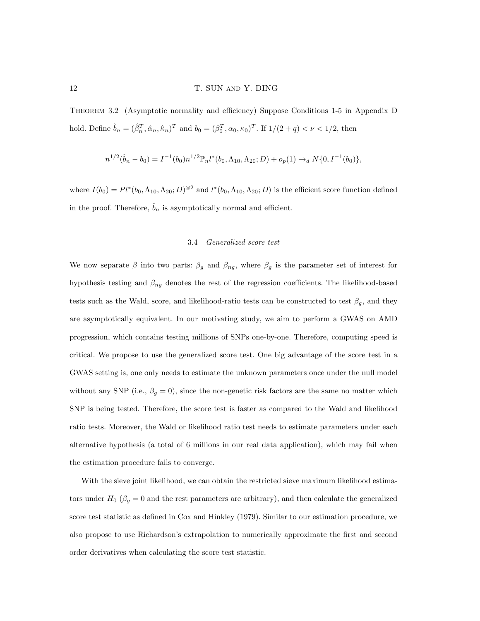## 12 T. SUN AND Y. DING

Theorem 3.2 (Asymptotic normality and efficiency) Suppose Conditions 1-5 in Appendix D hold. Define  $\hat{b}_n = (\hat{\beta}_n^T, \hat{\alpha}_n, \hat{\kappa}_n)^T$  and  $b_0 = (\beta_0^T, \alpha_0, \kappa_0)^T$ . If  $1/(2+q) < \nu < 1/2$ , then

$$
n^{1/2}(\hat{b}_n - b_0) = I^{-1}(b_0) n^{1/2} \mathbb{P}_n l^*(b_0, \Lambda_{10}, \Lambda_{20}; D) + o_p(1) \rightarrow_d N\{0, I^{-1}(b_0)\},
$$

where  $I(b_0) = Pl^*(b_0, \Lambda_{10}, \Lambda_{20}; D)^{\otimes 2}$  and  $l^*(b_0, \Lambda_{10}, \Lambda_{20}; D)$  is the efficient score function defined in the proof. Therefore,  $\hat{b}_n$  is asymptotically normal and efficient.

## 3.4 Generalized score test

We now separate  $\beta$  into two parts:  $\beta_g$  and  $\beta_{ng}$ , where  $\beta_g$  is the parameter set of interest for hypothesis testing and  $\beta_{ng}$  denotes the rest of the regression coefficients. The likelihood-based tests such as the Wald, score, and likelihood-ratio tests can be constructed to test  $\beta_g$ , and they are asymptotically equivalent. In our motivating study, we aim to perform a GWAS on AMD progression, which contains testing millions of SNPs one-by-one. Therefore, computing speed is critical. We propose to use the generalized score test. One big advantage of the score test in a GWAS setting is, one only needs to estimate the unknown parameters once under the null model without any SNP (i.e.,  $\beta_g = 0$ ), since the non-genetic risk factors are the same no matter which SNP is being tested. Therefore, the score test is faster as compared to the Wald and likelihood ratio tests. Moreover, the Wald or likelihood ratio test needs to estimate parameters under each alternative hypothesis (a total of 6 millions in our real data application), which may fail when the estimation procedure fails to converge.

With the sieve joint likelihood, we can obtain the restricted sieve maximum likelihood estimators under  $H_0$  ( $\beta_g = 0$  and the rest parameters are arbitrary), and then calculate the generalized score test statistic as defined in Cox and Hinkley (1979). Similar to our estimation procedure, we also propose to use Richardson's extrapolation to numerically approximate the first and second order derivatives when calculating the score test statistic.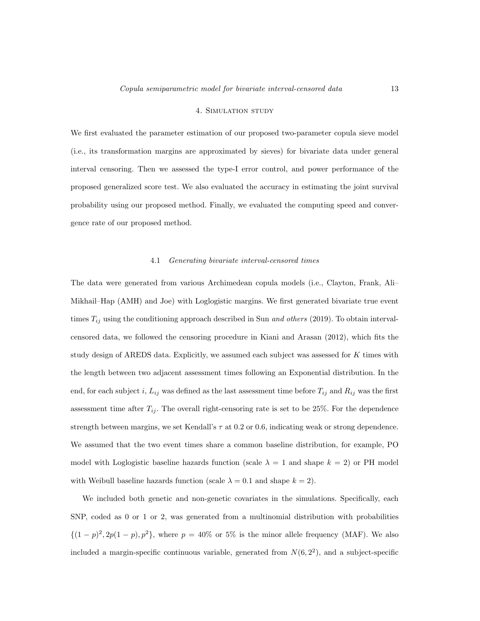## 4. Simulation study

We first evaluated the parameter estimation of our proposed two-parameter copula sieve model (i.e., its transformation margins are approximated by sieves) for bivariate data under general interval censoring. Then we assessed the type-I error control, and power performance of the proposed generalized score test. We also evaluated the accuracy in estimating the joint survival probability using our proposed method. Finally, we evaluated the computing speed and convergence rate of our proposed method.

#### 4.1 Generating bivariate interval-censored times

The data were generated from various Archimedean copula models (i.e., Clayton, Frank, Ali– Mikhail–Hap (AMH) and Joe) with Loglogistic margins. We first generated bivariate true event times  $T_{ij}$  using the conditioning approach described in Sun *and others* (2019). To obtain intervalcensored data, we followed the censoring procedure in Kiani and Arasan (2012), which fits the study design of AREDS data. Explicitly, we assumed each subject was assessed for K times with the length between two adjacent assessment times following an Exponential distribution. In the end, for each subject i,  $L_{ij}$  was defined as the last assessment time before  $T_{ij}$  and  $R_{ij}$  was the first assessment time after  $T_{ij}$ . The overall right-censoring rate is set to be 25%. For the dependence strength between margins, we set Kendall's  $\tau$  at 0.2 or 0.6, indicating weak or strong dependence. We assumed that the two event times share a common baseline distribution, for example, PO model with Loglogistic baseline hazards function (scale  $\lambda = 1$  and shape  $k = 2$ ) or PH model with Weibull baseline hazards function (scale  $\lambda = 0.1$  and shape  $k = 2$ ).

We included both genetic and non-genetic covariates in the simulations. Specifically, each SNP, coded as 0 or 1 or 2, was generated from a multinomial distribution with probabilities  $\{(1-p)^2, 2p(1-p), p^2\}$ , where  $p = 40\%$  or 5% is the minor allele frequency (MAF). We also included a margin-specific continuous variable, generated from  $N(6, 2^2)$ , and a subject-specific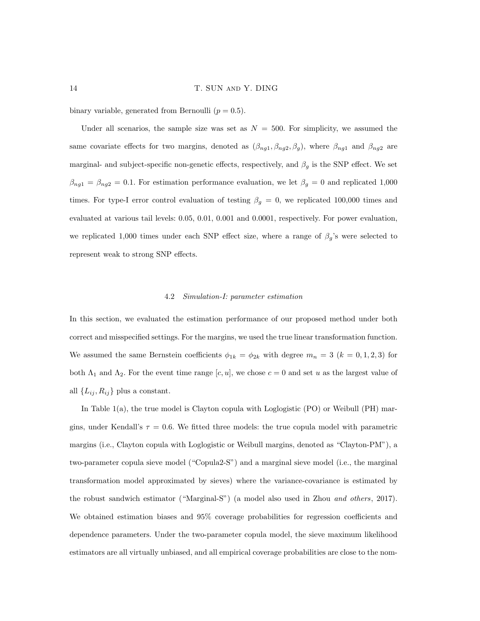binary variable, generated from Bernoulli  $(p = 0.5)$ .

Under all scenarios, the sample size was set as  $N = 500$ . For simplicity, we assumed the same covariate effects for two margins, denoted as  $(\beta_{ng1}, \beta_{ng2}, \beta_g)$ , where  $\beta_{ng1}$  and  $\beta_{ng2}$  are marginal- and subject-specific non-genetic effects, respectively, and  $\beta_q$  is the SNP effect. We set  $\beta_{ng1} = \beta_{ng2} = 0.1$ . For estimation performance evaluation, we let  $\beta_g = 0$  and replicated 1,000 times. For type-I error control evaluation of testing  $\beta_g = 0$ , we replicated 100,000 times and evaluated at various tail levels: 0.05, 0.01, 0.001 and 0.0001, respectively. For power evaluation, we replicated 1,000 times under each SNP effect size, where a range of  $\beta_g$ 's were selected to represent weak to strong SNP effects.

## 4.2 Simulation-I: parameter estimation

In this section, we evaluated the estimation performance of our proposed method under both correct and misspecified settings. For the margins, we used the true linear transformation function. We assumed the same Bernstein coefficients  $\phi_{1k} = \phi_{2k}$  with degree  $m_n = 3$   $(k = 0, 1, 2, 3)$  for both  $\Lambda_1$  and  $\Lambda_2$ . For the event time range  $[c, u]$ , we chose  $c = 0$  and set u as the largest value of all  $\{L_{ij}, R_{ij}\}$  plus a constant.

In Table 1(a), the true model is Clayton copula with Loglogistic (PO) or Weibull (PH) margins, under Kendall's  $\tau = 0.6$ . We fitted three models: the true copula model with parametric margins (i.e., Clayton copula with Loglogistic or Weibull margins, denoted as "Clayton-PM"), a two-parameter copula sieve model ("Copula2-S") and a marginal sieve model (i.e., the marginal transformation model approximated by sieves) where the variance-covariance is estimated by the robust sandwich estimator ("Marginal-S") (a model also used in Zhou and others, 2017). We obtained estimation biases and 95% coverage probabilities for regression coefficients and dependence parameters. Under the two-parameter copula model, the sieve maximum likelihood estimators are all virtually unbiased, and all empirical coverage probabilities are close to the nom-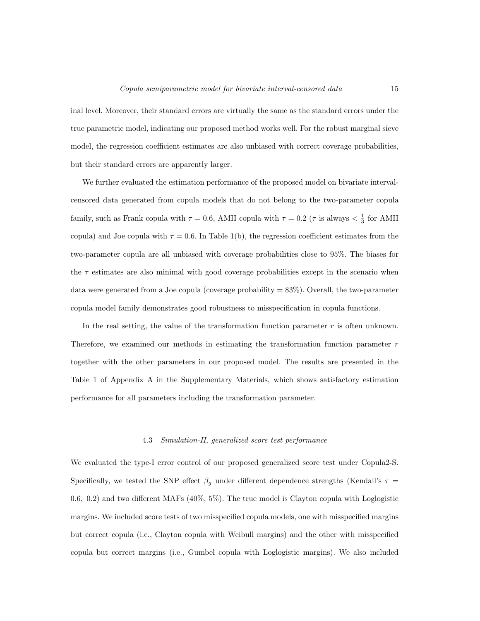inal level. Moreover, their standard errors are virtually the same as the standard errors under the true parametric model, indicating our proposed method works well. For the robust marginal sieve model, the regression coefficient estimates are also unbiased with correct coverage probabilities, but their standard errors are apparently larger.

We further evaluated the estimation performance of the proposed model on bivariate intervalcensored data generated from copula models that do not belong to the two-parameter copula family, such as Frank copula with  $\tau = 0.6$ , AMH copula with  $\tau = 0.2$  ( $\tau$  is always  $\lt \frac{1}{3}$  for AMH copula) and Joe copula with  $\tau = 0.6$ . In Table 1(b), the regression coefficient estimates from the two-parameter copula are all unbiased with coverage probabilities close to 95%. The biases for the  $\tau$  estimates are also minimal with good coverage probabilities except in the scenario when data were generated from a Joe copula (coverage probability  $= 83\%$ ). Overall, the two-parameter copula model family demonstrates good robustness to misspecification in copula functions.

In the real setting, the value of the transformation function parameter  $r$  is often unknown. Therefore, we examined our methods in estimating the transformation function parameter  $r$ together with the other parameters in our proposed model. The results are presented in the Table 1 of Appendix A in the Supplementary Materials, which shows satisfactory estimation performance for all parameters including the transformation parameter.

## 4.3 Simulation-II, generalized score test performance

We evaluated the type-I error control of our proposed generalized score test under Copula2-S. Specifically, we tested the SNP effect  $\beta_g$  under different dependence strengths (Kendall's  $\tau$  = 0.6, 0.2) and two different MAFs (40%, 5%). The true model is Clayton copula with Loglogistic margins. We included score tests of two misspecified copula models, one with misspecified margins but correct copula (i.e., Clayton copula with Weibull margins) and the other with misspecified copula but correct margins (i.e., Gumbel copula with Loglogistic margins). We also included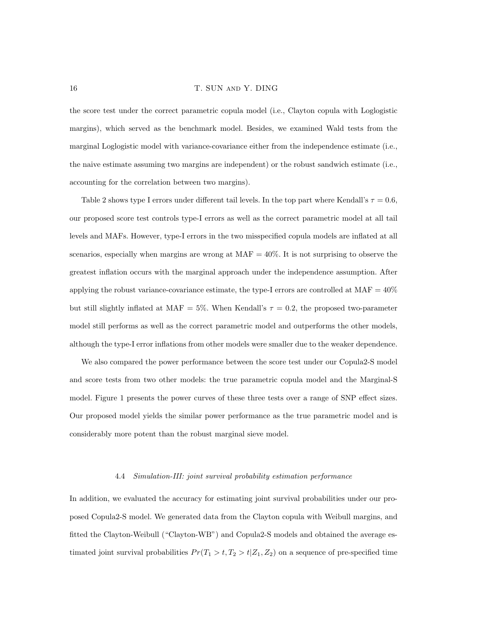the score test under the correct parametric copula model (i.e., Clayton copula with Loglogistic margins), which served as the benchmark model. Besides, we examined Wald tests from the marginal Loglogistic model with variance-covariance either from the independence estimate (i.e., the naive estimate assuming two margins are independent) or the robust sandwich estimate (i.e., accounting for the correlation between two margins).

Table 2 shows type I errors under different tail levels. In the top part where Kendall's  $\tau = 0.6$ , our proposed score test controls type-I errors as well as the correct parametric model at all tail levels and MAFs. However, type-I errors in the two misspecified copula models are inflated at all scenarios, especially when margins are wrong at  $MAF = 40\%$ . It is not surprising to observe the greatest inflation occurs with the marginal approach under the independence assumption. After applying the robust variance-covariance estimate, the type-I errors are controlled at  $MAF = 40\%$ but still slightly inflated at MAF = 5%. When Kendall's  $\tau = 0.2$ , the proposed two-parameter model still performs as well as the correct parametric model and outperforms the other models, although the type-I error inflations from other models were smaller due to the weaker dependence.

We also compared the power performance between the score test under our Copula2-S model and score tests from two other models: the true parametric copula model and the Marginal-S model. Figure 1 presents the power curves of these three tests over a range of SNP effect sizes. Our proposed model yields the similar power performance as the true parametric model and is considerably more potent than the robust marginal sieve model.

## 4.4 Simulation-III: joint survival probability estimation performance

In addition, we evaluated the accuracy for estimating joint survival probabilities under our proposed Copula2-S model. We generated data from the Clayton copula with Weibull margins, and fitted the Clayton-Weibull ("Clayton-WB") and Copula2-S models and obtained the average estimated joint survival probabilities  $Pr(T_1 > t, T_2 > t | Z_1, Z_2)$  on a sequence of pre-specified time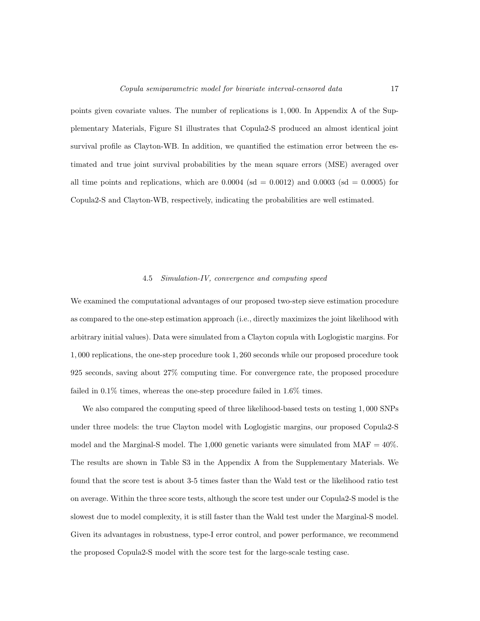points given covariate values. The number of replications is 1, 000. In Appendix A of the Supplementary Materials, Figure S1 illustrates that Copula2-S produced an almost identical joint survival profile as Clayton-WB. In addition, we quantified the estimation error between the estimated and true joint survival probabilities by the mean square errors (MSE) averaged over all time points and replications, which are  $0.0004$  (sd = 0.0012) and 0.0003 (sd = 0.0005) for Copula2-S and Clayton-WB, respectively, indicating the probabilities are well estimated.

#### 4.5 Simulation-IV, convergence and computing speed

We examined the computational advantages of our proposed two-step sieve estimation procedure as compared to the one-step estimation approach (i.e., directly maximizes the joint likelihood with arbitrary initial values). Data were simulated from a Clayton copula with Loglogistic margins. For 1, 000 replications, the one-step procedure took 1, 260 seconds while our proposed procedure took 925 seconds, saving about 27% computing time. For convergence rate, the proposed procedure failed in 0.1% times, whereas the one-step procedure failed in 1.6% times.

We also compared the computing speed of three likelihood-based tests on testing 1, 000 SNPs under three models: the true Clayton model with Loglogistic margins, our proposed Copula2-S model and the Marginal-S model. The 1,000 genetic variants were simulated from  $MAF = 40\%$ . The results are shown in Table S3 in the Appendix A from the Supplementary Materials. We found that the score test is about 3-5 times faster than the Wald test or the likelihood ratio test on average. Within the three score tests, although the score test under our Copula2-S model is the slowest due to model complexity, it is still faster than the Wald test under the Marginal-S model. Given its advantages in robustness, type-I error control, and power performance, we recommend the proposed Copula2-S model with the score test for the large-scale testing case.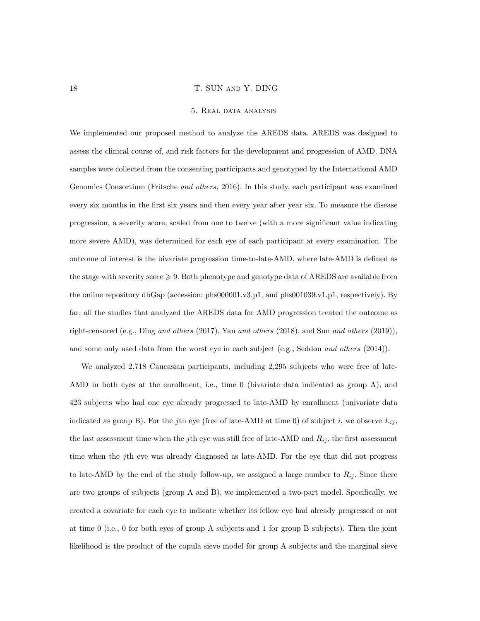#### 5. Real data analysis

We implemented our proposed method to analyze the AREDS data. AREDS was designed to assess the clinical course of, and risk factors for the development and progression of AMD. DNA samples were collected from the consenting participants and genotyped by the International AMD Genomics Consortium (Fritsche *and others*, 2016). In this study, each participant was examined every six months in the first six years and then every year after year six. To measure the disease progression, a severity score, scaled from one to twelve (with a more significant value indicating more severe AMD), was determined for each eye of each participant at every examination. The outcome of interest is the bivariate progression time-to-late-AMD, where late-AMD is defined as the stage with severity score  $\geq 9$ . Both phenotype and genotype data of AREDS are available from the online repository dbGap (accession: phs000001.v3.p1, and phs001039.v1.p1, respectively). By far, all the studies that analyzed the AREDS data for AMD progression treated the outcome as right-censored (e.g., Ding and others  $(2017)$ , Yan and others  $(2018)$ , and Sun and others  $(2019)$ ), and some only used data from the worst eye in each subject (e.g., Seddon and others (2014)).

We analyzed 2,718 Caucasian participants, including 2,295 subjects who were free of late-AMD in both eyes at the enrollment, i.e., time 0 (bivariate data indicated as group A), and 423 subjects who had one eye already progressed to late-AMD by enrollment (univariate data indicated as group B). For the jth eye (free of late-AMD at time 0) of subject i, we observe  $L_{ij}$ , the last assessment time when the jth eye was still free of late-AMD and  $R_{ij}$ , the first assessment time when the jth eye was already diagnosed as late-AMD. For the eye that did not progress to late-AMD by the end of the study follow-up, we assigned a large number to  $R_{ij}$ . Since there are two groups of subjects (group A and B), we implemented a two-part model. Specifically, we created a covariate for each eye to indicate whether its fellow eye had already progressed or not at time 0 (i.e., 0 for both eyes of group A subjects and 1 for group B subjects). Then the joint likelihood is the product of the copula sieve model for group A subjects and the marginal sieve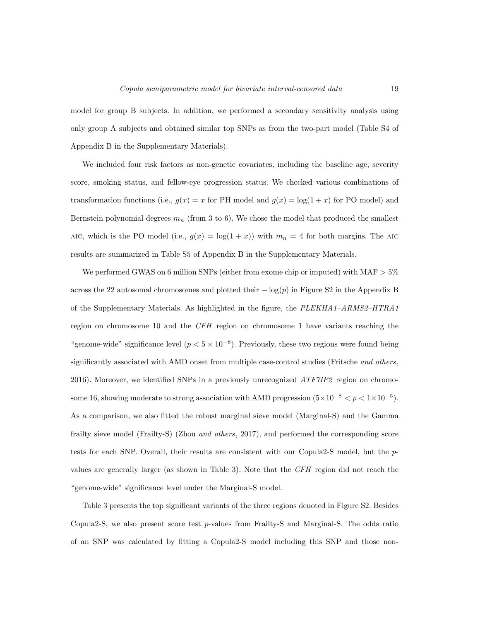model for group B subjects. In addition, we performed a secondary sensitivity analysis using only group A subjects and obtained similar top SNPs as from the two-part model (Table S4 of Appendix B in the Supplementary Materials).

We included four risk factors as non-genetic covariates, including the baseline age, severity score, smoking status, and fellow-eye progression status. We checked various combinations of transformation functions (i.e.,  $g(x) = x$  for PH model and  $g(x) = \log(1+x)$  for PO model) and Bernstein polynomial degrees  $m_n$  (from 3 to 6). We chose the model that produced the smallest AIC, which is the PO model (i.e.,  $g(x) = \log(1+x)$ ) with  $m_n = 4$  for both margins. The AIC results are summarized in Table S5 of Appendix B in the Supplementary Materials.

We performed GWAS on 6 million SNPs (either from exome chip or imputed) with  $MAF > 5\%$ across the 22 autosomal chromosomes and plotted their  $-\log(p)$  in Figure S2 in the Appendix B of the Supplementary Materials. As highlighted in the figure, the PLEKHA1–ARMS2–HTRA1 region on chromosome 10 and the CFH region on chromosome 1 have variants reaching the "genome-wide" significance level  $(p < 5 \times 10^{-8})$ . Previously, these two regions were found being significantly associated with AMD onset from multiple case-control studies (Fritsche and others, 2016). Moreover, we identified SNPs in a previously unrecognized ATF7IP2 region on chromosome 16, showing moderate to strong association with AMD progression  $(5 \times 10^{-8} < p < 1 \times 10^{-5})$ . As a comparison, we also fitted the robust marginal sieve model (Marginal-S) and the Gamma frailty sieve model (Frailty-S) (Zhou *and others*, 2017), and performed the corresponding score tests for each SNP. Overall, their results are consistent with our Copula2-S model, but the pvalues are generally larger (as shown in Table 3). Note that the CFH region did not reach the "genome-wide" significance level under the Marginal-S model.

Table 3 presents the top significant variants of the three regions denoted in Figure S2. Besides Copula2-S, we also present score test p-values from Frailty-S and Marginal-S. The odds ratio of an SNP was calculated by fitting a Copula2-S model including this SNP and those non-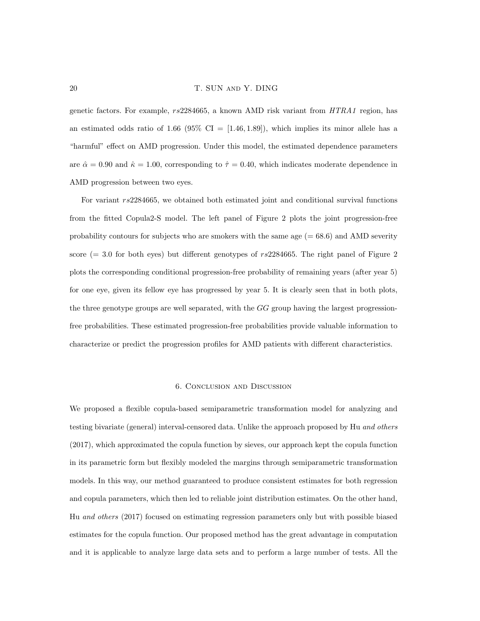genetic factors. For example, rs2284665, a known AMD risk variant from HTRA1 region, has an estimated odds ratio of 1.66 (95% CI =  $[1.46, 1.89]$ ), which implies its minor allele has a "harmful" effect on AMD progression. Under this model, the estimated dependence parameters are  $\hat{\alpha} = 0.90$  and  $\hat{\kappa} = 1.00$ , corresponding to  $\hat{\tau} = 0.40$ , which indicates moderate dependence in AMD progression between two eyes.

For variant rs2284665, we obtained both estimated joint and conditional survival functions from the fitted Copula2-S model. The left panel of Figure 2 plots the joint progression-free probability contours for subjects who are smokers with the same age  $(= 68.6)$  and AMD severity score  $(= 3.0 \text{ for both eyes})$  but different genotypes of  $rs2284665$ . The right panel of Figure 2 plots the corresponding conditional progression-free probability of remaining years (after year 5) for one eye, given its fellow eye has progressed by year 5. It is clearly seen that in both plots, the three genotype groups are well separated, with the  $GG$  group having the largest progressionfree probabilities. These estimated progression-free probabilities provide valuable information to characterize or predict the progression profiles for AMD patients with different characteristics.

#### 6. Conclusion and Discussion

We proposed a flexible copula-based semiparametric transformation model for analyzing and testing bivariate (general) interval-censored data. Unlike the approach proposed by Hu and others (2017), which approximated the copula function by sieves, our approach kept the copula function in its parametric form but flexibly modeled the margins through semiparametric transformation models. In this way, our method guaranteed to produce consistent estimates for both regression and copula parameters, which then led to reliable joint distribution estimates. On the other hand, Hu and others (2017) focused on estimating regression parameters only but with possible biased estimates for the copula function. Our proposed method has the great advantage in computation and it is applicable to analyze large data sets and to perform a large number of tests. All the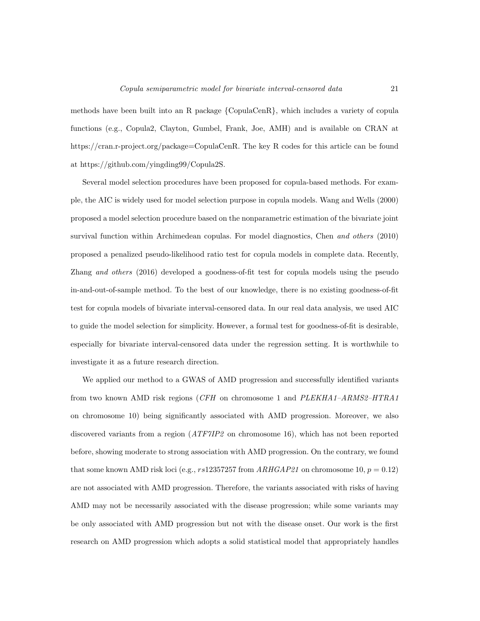methods have been built into an R package {CopulaCenR}, which includes a variety of copula functions (e.g., Copula2, Clayton, Gumbel, Frank, Joe, AMH) and is available on CRAN at https://cran.r-project.org/package=CopulaCenR. The key R codes for this article can be found at https://github.com/yingding99/Copula2S.

Several model selection procedures have been proposed for copula-based methods. For example, the AIC is widely used for model selection purpose in copula models. Wang and Wells (2000) proposed a model selection procedure based on the nonparametric estimation of the bivariate joint survival function within Archimedean copulas. For model diagnostics, Chen and others (2010) proposed a penalized pseudo-likelihood ratio test for copula models in complete data. Recently, Zhang and others (2016) developed a goodness-of-fit test for copula models using the pseudo in-and-out-of-sample method. To the best of our knowledge, there is no existing goodness-of-fit test for copula models of bivariate interval-censored data. In our real data analysis, we used AIC to guide the model selection for simplicity. However, a formal test for goodness-of-fit is desirable, especially for bivariate interval-censored data under the regression setting. It is worthwhile to investigate it as a future research direction.

We applied our method to a GWAS of AMD progression and successfully identified variants from two known AMD risk regions (CFH on chromosome 1 and PLEKHA1–ARMS2–HTRA1 on chromosome 10) being significantly associated with AMD progression. Moreover, we also discovered variants from a region (ATF7IP2 on chromosome 16), which has not been reported before, showing moderate to strong association with AMD progression. On the contrary, we found that some known AMD risk loci (e.g., rs12357257 from  $ARHGAP21$  on chromosome 10,  $p = 0.12$ ) are not associated with AMD progression. Therefore, the variants associated with risks of having AMD may not be necessarily associated with the disease progression; while some variants may be only associated with AMD progression but not with the disease onset. Our work is the first research on AMD progression which adopts a solid statistical model that appropriately handles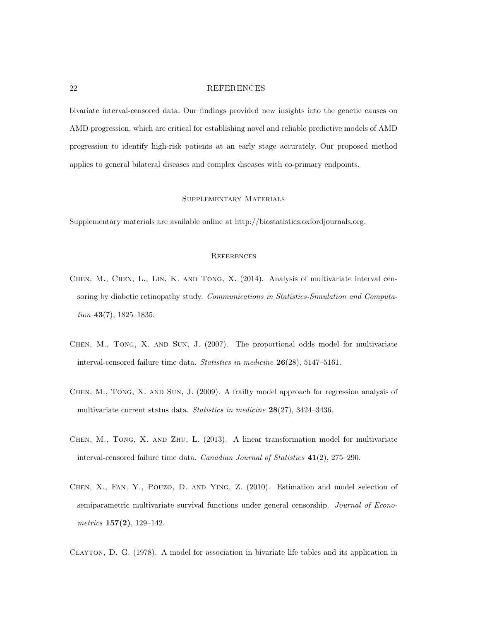bivariate interval-censored data. Our findings provided new insights into the genetic causes on AMD progression, which are critical for establishing novel and reliable predictive models of AMD progression to identify high-risk patients at an early stage accurately. Our proposed method applies to general bilateral diseases and complex diseases with co-primary endpoints.

# Supplementary Materials

Supplementary materials are available online at http://biostatistics.oxfordjournals.org.

#### **REFERENCES**

- Chen, M., Chen, L., Lin, K. and Tong, X. (2014). Analysis of multivariate interval censoring by diabetic retinopathy study. Communications in Statistics-Simulation and Computation 43(7), 1825–1835.
- Chen, M., Tong, X. and Sun, J. (2007). The proportional odds model for multivariate interval-censored failure time data. Statistics in medicine 26(28), 5147–5161.
- Chen, M., Tong, X. and Sun, J. (2009). A frailty model approach for regression analysis of multivariate current status data. Statistics in medicine 28(27), 3424–3436.
- CHEN, M., TONG, X. AND ZHU, L. (2013). A linear transformation model for multivariate interval-censored failure time data. Canadian Journal of Statistics 41(2), 275–290.
- Chen, X., Fan, Y., Pouzo, D. and Ying, Z. (2010). Estimation and model selection of semiparametric multivariate survival functions under general censorship. Journal of Econometrics  $157(2)$ , 129-142.

Clayton, D. G. (1978). A model for association in bivariate life tables and its application in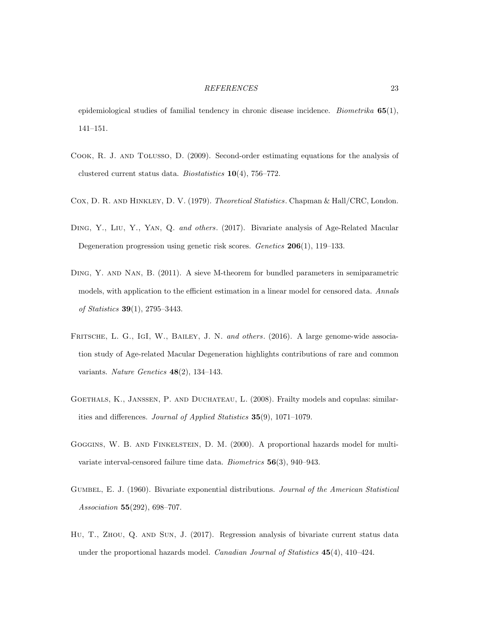epidemiological studies of familial tendency in chronic disease incidence. *Biometrika*  $65(1)$ , 141–151.

- Cook, R. J. and Tolusso, D. (2009). Second-order estimating equations for the analysis of clustered current status data. Biostatistics 10(4), 756–772.
- Cox, D. R. and Hinkley, D. V. (1979). Theoretical Statistics. Chapman & Hall/CRC, London.
- Ding, Y., Liu, Y., Yan, Q. and others. (2017). Bivariate analysis of Age-Related Macular Degeneration progression using genetic risk scores. Genetics 206(1), 119–133.
- Ding, Y. and Nan, B. (2011). A sieve M-theorem for bundled parameters in semiparametric models, with application to the efficient estimation in a linear model for censored data. Annals of Statistics 39(1), 2795–3443.
- FRITSCHE, L. G., IGI, W., BAILEY, J. N. and others. (2016). A large genome-wide association study of Age-related Macular Degeneration highlights contributions of rare and common variants. Nature Genetics  $48(2)$ , 134-143.
- Goethals, K., Janssen, P. and Duchateau, L. (2008). Frailty models and copulas: similarities and differences. Journal of Applied Statistics 35(9), 1071–1079.
- Goggins, W. B. and Finkelstein, D. M. (2000). A proportional hazards model for multivariate interval-censored failure time data. Biometrics 56(3), 940–943.
- GUMBEL, E. J. (1960). Bivariate exponential distributions. Journal of the American Statistical Association 55(292), 698–707.
- HU, T., ZHOU, Q. AND SUN, J. (2017). Regression analysis of bivariate current status data under the proportional hazards model. *Canadian Journal of Statistics*  $45(4)$ ,  $410-424$ .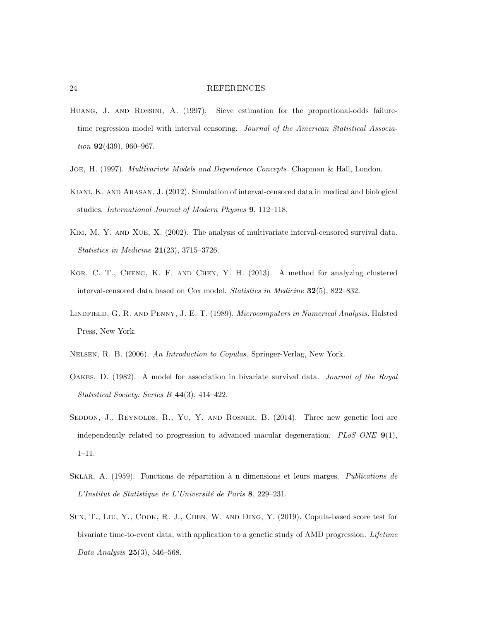- Huang, J. and Rossini, A. (1997). Sieve estimation for the proportional-odds failuretime regression model with interval censoring. Journal of the American Statistical Association 92(439), 960-967.
- Joe, H. (1997). Multivariate Models and Dependence Concepts. Chapman & Hall, London.
- Kiani, K. and Arasan, J. (2012). Simulation of interval-censored data in medical and biological studies. International Journal of Modern Physics 9, 112–118.
- Kim, M. Y. and Xue, X. (2002). The analysis of multivariate interval-censored survival data. Statistics in Medicine 21(23), 3715–3726.
- Kor, C. T., Cheng, K. F. and Chen, Y. H. (2013). A method for analyzing clustered interval-censored data based on Cox model. Statistics in Medicine 32(5), 822–832.
- Lindfield, G. R. and Penny, J. E. T. (1989). Microcomputers in Numerical Analysis. Halsted Press, New York.
- Nelsen, R. B. (2006). An Introduction to Copulas. Springer-Verlag, New York.
- Oakes, D. (1982). A model for association in bivariate survival data. Journal of the Royal Statistical Society: Series B 44(3), 414–422.
- SEDDON, J., REYNOLDS, R., YU, Y. AND ROSNER, B. (2014). Three new genetic loci are independently related to progression to advanced macular degeneration. PLoS ONE  $9(1)$ , 1–11.
- SKLAR, A. (1959). Fonctions de répartition à n dimensions et leurs marges. Publications de L'Institut de Statistique de L'Université de Paris 8, 229–231.
- Sun, T., Liu, Y., Cook, R. J., Chen, W. and Ding, Y. (2019). Copula-based score test for bivariate time-to-event data, with application to a genetic study of AMD progression. Lifetime Data Analysis 25(3), 546–568.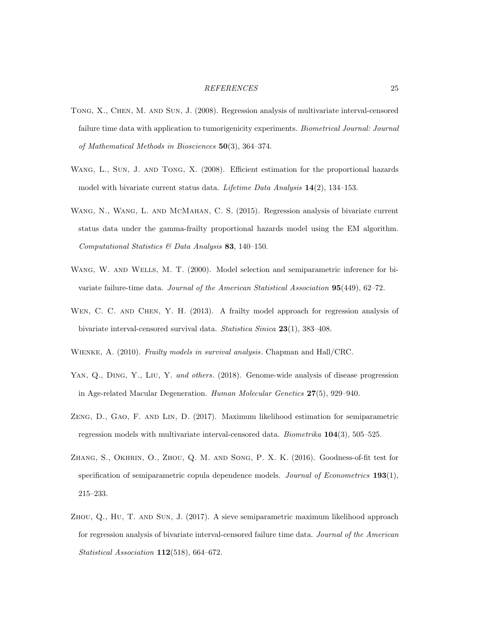- Tong, X., Chen, M. and Sun, J. (2008). Regression analysis of multivariate interval-censored failure time data with application to tumorigenicity experiments. Biometrical Journal: Journal of Mathematical Methods in Biosciences 50(3), 364–374.
- Wang, L., Sun, J. and Tong, X. (2008). Efficient estimation for the proportional hazards model with bivariate current status data. Lifetime Data Analysis 14(2), 134–153.
- Wang, N., Wang, L. and McMahan, C. S. (2015). Regression analysis of bivariate current status data under the gamma-frailty proportional hazards model using the EM algorithm. Computational Statistics & Data Analysis 83, 140–150.
- WANG, W. AND WELLS, M. T. (2000). Model selection and semiparametric inference for bivariate failure-time data. Journal of the American Statistical Association 95(449), 62–72.
- WEN, C. C. AND CHEN, Y. H. (2013). A frailty model approach for regression analysis of bivariate interval-censored survival data. Statistica Sinica 23(1), 383–408.
- WIENKE, A. (2010). Frailty models in survival analysis. Chapman and Hall/CRC.
- YAN, Q., DING, Y., LIU, Y. and others. (2018). Genome-wide analysis of disease progression in Age-related Macular Degeneration. Human Molecular Genetics 27(5), 929–940.
- Zeng, D., Gao, F. and Lin, D. (2017). Maximum likelihood estimation for semiparametric regression models with multivariate interval-censored data. *Biometrika*  $104(3)$ , 505–525.
- Zhang, S., Okhrin, O., Zhou, Q. M. and Song, P. X. K. (2016). Goodness-of-fit test for specification of semiparametric copula dependence models. Journal of Econometrics  $193(1)$ , 215–233.
- Zhou, Q., Hu, T. and Sun, J. (2017). A sieve semiparametric maximum likelihood approach for regression analysis of bivariate interval-censored failure time data. Journal of the American Statistical Association 112(518), 664-672.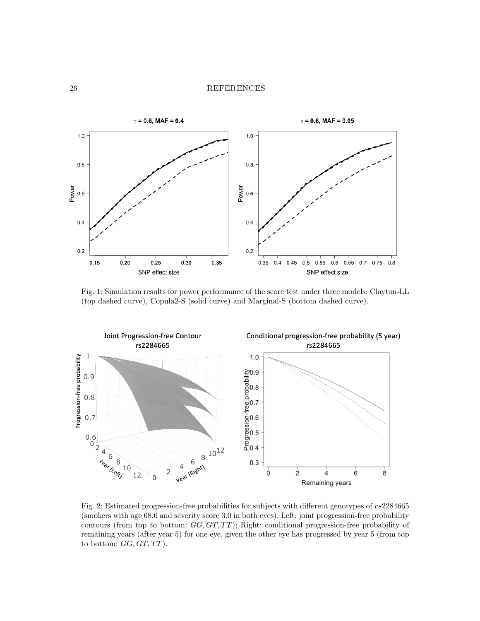

Fig. 1: Simulation results for power performance of the score test under three models: Clayton-LL (top dashed curve), Copula2-S (solid curve) and Marginal-S (bottom dashed curve).



Fig. 2: Estimated progression-free probabilities for subjects with different genotypes of rs2284665 (smokers with age 68.6 and severity score 3.0 in both eyes). Left: joint progression-free probability contours (from top to bottom:  $GG, GT, TT$ ); Right: conditional progression-free probability of remaining years (after year 5) for one eye, given the other eye has progressed by year 5 (from top to bottom:  $GG, GT, TT$ ).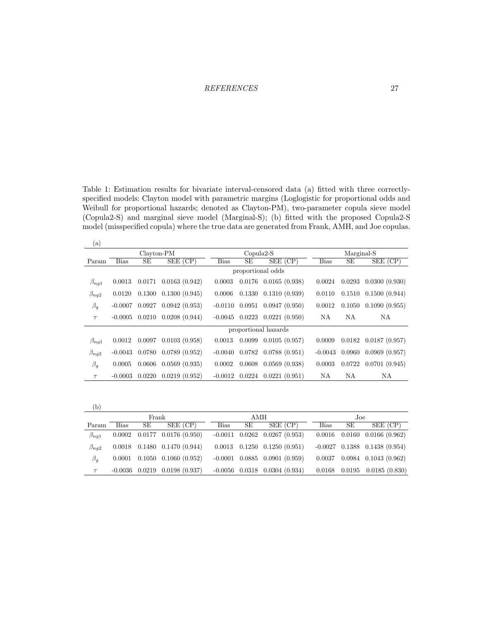Table 1: Estimation results for bivariate interval-censored data (a) fitted with three correctlyspecified models: Clayton model with parametric margins (Loglogistic for proportional odds and Weibull for proportional hazards; denoted as Clayton-PM), two-parameter copula sieve model (Copula2-S) and marginal sieve model (Marginal-S); (b) fitted with the proposed Copula2-S model (misspecified copula) where the true data are generated from Frank, AMH, and Joe copulas.

| $\left( \mathrm{a}\right)$ |                      |        |               |             |             |                                 |             |        |                             |  |
|----------------------------|----------------------|--------|---------------|-------------|-------------|---------------------------------|-------------|--------|-----------------------------|--|
|                            | Clayton-PM           |        |               |             | $Copula2-S$ |                                 | Marginal-S  |        |                             |  |
| Param                      | Bias                 | SЕ     | $SEE$ (CP)    | <b>Bias</b> | SЕ          | $SEE$ (CP)                      | <b>Bias</b> | SЕ     | $SEE$ (CP)                  |  |
|                            | proportional odds    |        |               |             |             |                                 |             |        |                             |  |
| $\beta_{ng1}$              | 0.0013               | 0.0171 | 0.0163(0.942) | 0.0003      |             | $0.0176$ $0.0165$ $(0.938)$     | 0.0024      | 0.0293 | 0.0300(0.930)               |  |
| $\beta_{nq2}$              | 0.0120               | 0.1300 | 0.1300(0.945) | 0.0006      |             | $0.1330 \quad 0.1310 \ (0.939)$ | 0.0110      |        | $0.1510$ $0.1500$ $(0.944)$ |  |
| $\beta_g$                  | $-0.0007$            | 0.0927 | 0.0942(0.953) | $-0.0110$   |             | $0.0951$ $0.0947$ $(0.950)$     | 0.0012      | 0.1050 | 0.1090(0.955)               |  |
| $\tau$                     | $-0.0005$            | 0.0210 | 0.0208(0.944) | $-0.0045$   |             | $0.0223$ $0.0221$ $(0.950)$     | NA          | NA     | NA                          |  |
|                            | proportional hazards |        |               |             |             |                                 |             |        |                             |  |
| $\beta_{nq1}$              | 0.0012               | 0.0097 | 0.0103(0.958) | 0.0013      |             | $0.0099$ $0.0105$ $(0.957)$     | 0.0009      |        | $0.0182$ $0.0187$ $(0.957)$ |  |
| $\beta_{ng2}$              | $-0.0043$            | 0.0780 | 0.0789(0.952) | $-0.0040$   |             | $0.0782$ 0.0788 $(0.951)$       | $-0.0043$   | 0.0960 | 0.0969(0.957)               |  |
| $\beta_g$                  | 0.0005               | 0.0606 | 0.0569(0.935) | 0.0002      |             | $0.0608$ $0.0569$ $(0.938)$     | 0.0003      | 0.0722 | 0.0701(0.945)               |  |
| $\tau$                     | $-0.0003$            | 0.0220 | 0.0219(0.952) | $-0.0012$   |             | $0.0224$ $0.0221$ $(0.951)$     | NA          | NA     | NA                          |  |

| (b)           |             |    |                                       |             |    |                                       |             |    |                                      |
|---------------|-------------|----|---------------------------------------|-------------|----|---------------------------------------|-------------|----|--------------------------------------|
|               | Frank       |    |                                       | AMH         |    |                                       | Joe         |    |                                      |
| Param         | <b>Bias</b> | SE | $SEE$ (CP)                            | <b>Bias</b> | SЕ | $SEE$ $\overline{CP}$                 | <b>Bias</b> | SE | $SEE$ $\overline{CP}$                |
| $\beta_{nq1}$ | 0.0002      |    | $0.0177$ $0.0176$ $(0.950)$           |             |    | $-0.0011$ $0.0262$ $0.0267$ $(0.953)$ |             |    | $0.0016$ $0.0160$ $0.0166$ $(0.962)$ |
| $\beta_{nq2}$ |             |    | $0.0018$ $0.1480$ $0.1470$ $(0.944)$  |             |    | $0.0013$ $0.1250$ $0.1250$ $(0.951)$  |             |    | $-0.0027$ 0.1388 0.1438 (0.954)      |
| $\beta_a$     | 0.0001      |    | $0.1050$ $0.1060$ $(0.952)$           |             |    | $-0.0001$ $0.0885$ $0.0901$ $(0.959)$ | 0.0037      |    | $0.0984$ $0.1043$ $(0.962)$          |
| $\tau$        |             |    | $-0.0036$ $0.0219$ $0.0198$ $(0.937)$ |             |    | $-0.0056$ $0.0318$ $0.0304$ $(0.934)$ | 0.0168      |    | $0.0195$ 0.0185 $(0.830)$            |